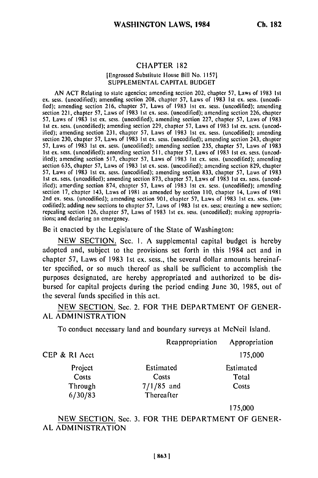#### CHAPTER 182 [Engrossed Substitute House Bill No. 11571 SUPPLEMENTAL CAPITAL BUDGET

AN ACT Relating to state agencies; amending section 202, chapter 57, Laws of 1983 Ist ex. scss. (uncodified); amending section 208, chapter 57, Laws of 1983 Ist cx. scss. (uncodified); amending section 216, chapter 57, Laws of 1983 1st ex. sess. (uncodified); amending section 221, chapter 57, Laws of 1983 Ist ex. sess. (uncodified); amending section 226, chapter 57, Laws of 1983 Ist ex. sess. (uncodificd); amending section 227, chapter 57, Laws of 1983 Ist ex. sess. (uncodified); amending section 229, chapter 57, Laws of 1983 Ist ex. sess. (uncodified); amending section 231, chapter 57, Laws of 1983 Ist ex. sess. (uncodificd); amending section 230, chapter 57, Laws of 1983 **1st** ex. sess. (uncodified); amending section 243, chapter 57, Laws of 1983 1st ex. sess. (uncodified); amending section 235, chapter 57, Laws of 1983 Ist ex. sess. (uncodified); amending section 511, chapter 57, Laws of 1983 1st ex. sess. (uncodified); amending section 517, chapter 57, Laws of 1983 Ist ex. sess. (uncodified); amending section 635, chapter 57, Laws of 1983 1st ex. sess. (uncodified); amending section 829, chapter 57, Laws of 1983 1st ex. sess. (uncodified); amending section 833, chapter 57, Laws of 1983 Ist ex. sess. (uncodified); amending section 873, chapter 57, Laws of 1983 Ist ex. sess. (uncodified); amerding section 874, chapter 57, Laws of 1983 Ist ex. sess. (uncodified); amending section 17, chapter 143, Laws of 1981 as amended by section 110, chapter 14, Laws of 1981 2nd ex. sess. (uncodified); amending section 901, chapter 57, Laws of 1983 1st ex. sess. (uncodified); adding new sections to chapter 57, Laws of 1983 1st ex. sess; creating a new section; repealing section 126, chapter 57, Laws of 1983 **1st** ex. sess. (uncodified); making appropriations; and declaring an emergency.

Be it enacted by the Legislature of the State of Washington:

NEW SECTION. Sec. I. A supplemental capital budget is hereby adopted and, subject to the provisions set forth in this 1984 act and in chapter 57, Laws of 1983 1st ex. sess., the several dollar amounts hereinafter specified, or so much thereof as shall be sufficient to accomplish the purposes designated, are hereby appropriated and authorized to be disbursed for capital projects during the period ending June **30, 1985,** out of the several funds specified in this act.

NEW SECTION. Sec. 2. FOR THE DEPARTMENT OF GENER-AL ADMINISTRATION

To conduct necessary land and boundary surveys at McNeil Island.

|               | Reappropriation | Appropriation |
|---------------|-----------------|---------------|
| CEP & RI Acct |                 | 175,000       |
| Project       | Estimated       | Estimated     |
| Costs         | Costs           | Total         |
| Through       | $7/1/85$ and    | Costs         |
| 6/30/83       | Thereafter      |               |

**175,000**

NEW SECTION. Sec. 3. FOR THE DEPARTMENT OF GENER-AL ADMINISTRATION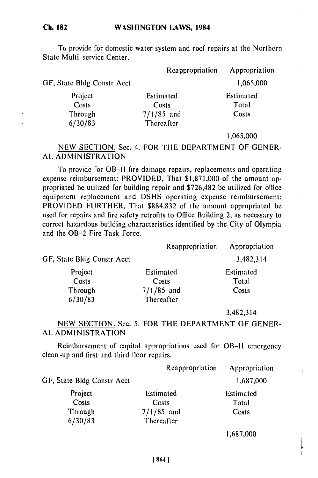**Ch. 182**

To provide for domestic water system and roof repairs at the Northern State Multi-service Center.

|                            | Reappropriation | Appropriation                       |
|----------------------------|-----------------|-------------------------------------|
| GF, State Bldg Constr Acct |                 | 1,065,000                           |
| Project                    | Estimated       | Estimated                           |
| Costs                      | Costs           | Total                               |
| Through                    | $7/1/85$ and    | Costs                               |
| 6/30/83                    | Thereafter      |                                     |
|                            |                 | $\cdot$ $\sim$ $\sim$ $\sim$ $\sim$ |

1,065,000

NEW SECTION. Sec. 4. FOR THE DEPARTMENT OF GENER-AL ADMINISTRATION

To provide for OB-Il fire damage repairs, replacements and operating expense reimbursement: PROVIDED, That \$1,871,000 of the amount appropriated be utilized for building repair and \$726,482 be utilized for office equipment replacement and DSHS operating expense reimbursement: PROVIDED FURTHER, That \$884,832 of the amount appropriated be used for repairs and fire safety retrofits to Office Building 2, as necessary to correct hazardous building characteristics identified by the City of Olympia and the OB-2 Fire Task Force.

|                            | Reappropriation | Appropriation |
|----------------------------|-----------------|---------------|
| GF, State Bldg Constr Acct |                 | 3,482,314     |
| Project                    | Estimated       | Estimated     |
| Costs                      | Costs           | Total         |
| Through                    | $7/1/85$ and    | Costs         |
| 6/30/83                    | Thereafter      |               |
|                            |                 | 3,482,314     |

#### NEW SECTION. Sec. 5. FOR THE DEPARTMENT OF GENER-AL ADMINISTRATION

Reimbursement of capital appropriations used for OB-II emergency clean-up and first and third floor repairs.

|                            | Reappropriation | Appropriation |
|----------------------------|-----------------|---------------|
| GF, State Bldg Constr Acct |                 | 1,687,000     |
| Project                    | Estimated       | Estimated     |
| Costs                      | Costs           | Total         |
| Through                    | $7/1/85$ and    | Costs         |
| 6/30/83                    | Thereafter      |               |

1,687,000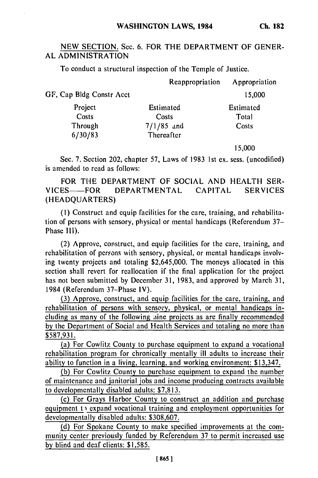**Ch. 182**

# NEW SECTION. Sec. 6. FOR THE DEPARTMENT OF GENER-AL ADMINISTRATION

To conduct a structural inspection of the Temple of Justice.

|                          | Reappropriation | Appropriation |
|--------------------------|-----------------|---------------|
| GF, Cap Bldg Constr Acct |                 | 15,000        |
| Project                  | Estimated       | Estimated     |
| Costs                    | Costs           | Total         |
| Through                  | $7/1/85$ and    | Costs         |
| 6/30/83                  | Thereafter      |               |

15,000

Sec. 7. Section 202, chapter 57, Laws of 1983 1st ex. sess. (uncodified) is amended to read as follows:

FOR THE DEPARTMENT OF SOCIAL AND HEALTH SER-VICES- FOR DEPARTMENTAL CAPITAL SERVICES (HEADQUARTERS)

(I) Construct and equip facilities for the care, training, and rehabilitation of persons with sensory, physical or mental handicaps (Referendum 37- Phase III).

(2) Approve, construct, and equip facilities for the care, training, and rehabilitation of persons with sensory, physical, or mental handicaps involving twenty projects and totaling \$2,645,000. The moneys allocated in this section shall revert for reallocation if the final application for the project has not been submitted by December 31, 1983, and approved by March 31, 1984 (Referendum 37-Phase IV).

(3) Approve, construct, and equip facilities for the care, training, and rehabilitation of persons with sensory, physical, or mental handicaps including as many of the following aine projects as are finally recommended by the Department of Social and Health Services and totaling no more than \$587,931.

(a) For Cowlitz County to purchase equipment to expand a vocational rehabilitation program for chronically mentally ill adults to increase their ability to function in a living, learning, and working environment: \$13,347.

(b) For Cowlitz County to purchase equipment to expand the number of maintenance and janitorial jobs and income producing contracts available to developmentally disabled adults: \$7,813.

(c) For Grays Harbor County to construct an addition and purchase equipment  $t_1$  expand vocational training and employment opportunities for developmentally disabled adults: \$308,607.

(d) For Spokane County to make specified improvements at the community center previously funded by Referendum 37 to permit increased use by blind and deaf clients: \$1,585.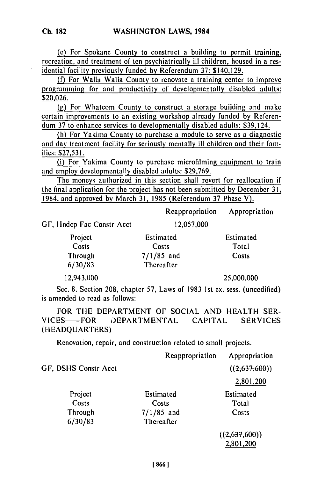(e) For Spokane County to construct a building to permit training, recreation, and treatment of ten psychiatrically ill children, housed in a residential facility previously funded **by** Referendum **37:** \$140,129.

() For Walla Walla County to renovate a training center to improve programming for and productivity of developmentally disabled adults: \$20,026.

**(g)** For Whatcom County to construct a storage buidding and make certain improvements to an existing workshop already funded **by** Referendum **37** to enhance services to developmentally disabled adults: \$39,124.

(h) For Yakima County to purchase a module to serve as a diagnostic and day treatment facility for seriously mentally ill children and their families: \$27,531.

(i) For Yakima County to purchase microfilming equipment to train and employ developmentally disabled adults: \$29,769.

The moneys authorized in this section shall revert for reallocation if the final application for the project has not been submitted **by** December 31, 1984, and approved by March 31, 1985 (Referendum 37 Phase V).

Reappropriation Appropriation

GF, Hndcp Fac Constr Acct 12,057,000

Project Estimated Estimated Estimated Costs Costs Total Costs Costs Total<br>
Through 7/1/85 and Costs 6/30/83 Thereafter

12,943,000 25,000,000

Sec. 8. Section 208, chapter 57, Laws of 1983 1st ex. sess. (uncodified) is amended to read as follows:

FOR THE DEPARTMENT OF SOCIAL AND HEALTH SER-VICES- FOR DEPARTMENTAL CAPITAL SERVICES (HEADQUARTERS)

Renovation, repair, and construction related to small projects.

|                      | Reappropriation | Appropriation |
|----------------------|-----------------|---------------|
| GF, DSHS Constr Acct |                 | ((2,637,600)) |
|                      |                 | 2,801,200     |
| Project              | Estimated       | Estimated     |
| Costs                | Costs           | Total         |
| Through              | $7/1/85$ and    | Costs         |
| 6/30/83              | Thereafter      |               |
|                      |                 | ((2,637,600)) |
|                      |                 | 2,801,200     |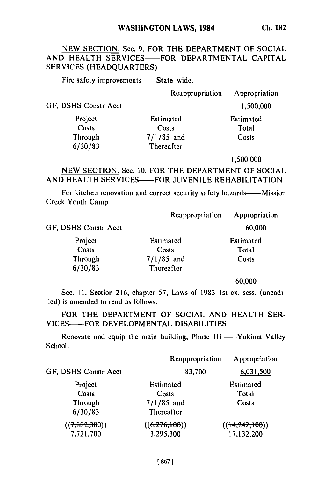# NEW SECTION. Sec. 9. FOR THE DEPARTMENT OF **SOCIAL** AND HEALTH SERVICES-FOR DEPARTMENTAL CAPITAL **SERVICES (HEADQUARTERS)**

Fire safety improvements——State-wide.

Reappropriation Appropriation

**1,500,000**

GF, DSHS Constr Acct

| Project | Estimated    | Estimated |
|---------|--------------|-----------|
| Costs   | Costs        | Total     |
| Through | $7/1/85$ and | Costs     |
| 6/30/83 | Thereafter   |           |

**1,500,000**

NEW SECTION. Sec. **10.** FOR THE DEPARTMENT OF SOCIAL AND HEALTH SERVICES—FOR JUVENILE REHABILITATION

For kitchen renovation and correct security safety hazards——Mission Creek Youth Camp.

| Reappropriation         | Appropriation |
|-------------------------|---------------|
| GF, DSHS Constr Acct    | 60,000        |
| Project<br>Estimated    | Estimated     |
| Costs<br>Costs          | Total         |
| $7/1/85$ and<br>Through | Costs         |
| 6/30/83<br>Thereafter   |               |

**60,000**

 $\mathbf{I}$ 

Sec. 11. Section 216, chapter 57, Laws of 1983 1st ex. sess. (uncodified) is amended to read as follows:

FOR THE DEPARTMENT OF SOCIAL AND HEALTH SER-VICES-FOR DEVELOPMENTAL DISABILITIES

Renovate and equip the main building, Phase III——Yakima Valley School.

|                      | Reappropriation | Appropriation    |
|----------------------|-----------------|------------------|
| GF, DSHS Constr Acct | 83,700          | 6,031,500        |
| Project              | Estimated       | Estimated        |
| Costs                | Costs           | Total            |
| Through              | $7/1/85$ and    | Costs            |
| 6/30/83              | Thereafter      |                  |
| ((7, 882, 300))      | ((6,276,100))   | ((14, 242, 100)) |
| 7,721,700            | 3,295,300       | 17,132,200       |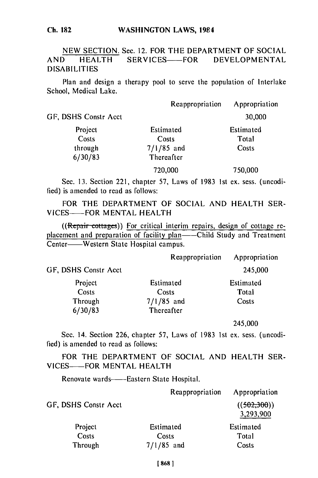#### **WASHINGTON** LAWS, 1984

# NEW SECTION. Sec. 12. FOR THE DEPARTMENT OF SOCIAL AND HEALTH SERVICES-FOR DEVELOPMENTAL DISABILITIES

Plan and design a therapy pool to serve the population of Interlake School, Medical Lake.

|                      | Reappropriation | Appropriation |
|----------------------|-----------------|---------------|
| GF, DSHS Constr Acct |                 | 30,000        |
| Project              | Estimated       | Estimated     |
| Costs                | Costs           | Total         |
| through              | $7/1/85$ and    | Costs         |
| 6/30/83              | Thereafter      |               |
|                      | 720,000         | 750,000       |

Sec. **13.** Section 221, chapter 57, Laws of 1983 ist ex. sess. (uncodified) is amended to read as follows:

FOR THE DEPARTMENT OF SOCIAL AND HEALTH SER-VICES---- FOR MENTAL HEALTH

 $((\text{Repair-cottages}))$  For critical interim repairs, design of cottage replacement and preparation of facility plan——Child Study and Treatment Center-Western State Hospital campus.

|                      | Reappropriation | Appropriation |
|----------------------|-----------------|---------------|
| GF, DSHS Constr Acct |                 | 245,000       |
| Project              | Estimated       | Estimated     |
| Costs                | Costs           | Total         |
| Through              | $7/1/85$ and    | Costs         |
| 6/30/83              | Thereafter      |               |
|                      |                 |               |

245,000

Sec. 14. Section 226, chapter 57, Laws of 1983 1st ex. sess. (uncodified) is amended to read as follows:

FOR THE DEPARTMENT OF SOCIAL AND HEALTH SER-VICES--- FOR MENTAL HEALTH

Renovate wards--Eastern State Hospital.

|                      | Reappropriation | Appropriation            |
|----------------------|-----------------|--------------------------|
| GF, DSHS Constr Acct |                 | ((502,300))<br>3,293,900 |
| Project              | Estimated       | Estimated                |
| Costs                | Costs           | Total                    |
| Through              | $7/1/85$ and    | Costs                    |

#### **Ch. 182**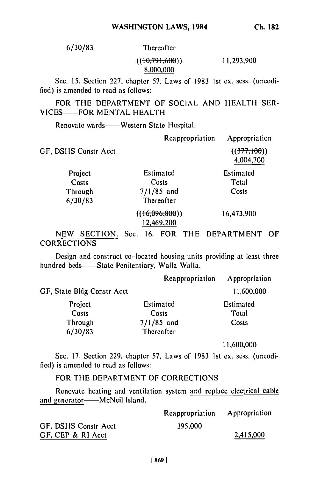**6/30/83** Thereafter

 $((10,791,600))$ 11,293,900

**8,000,000**

Sec. **15.** Section 227, chapter 57, Laws of 1983 1st ex. sess. (uncodified) is amended to read as follows:

FOR THE DEPARTMENT OF SOCIAL AND HEALTH SER. VICES-FOR MENTAL HEALTH

Renovate wards-**--**Western State Hospital.

|                      | Reappropriation           | Appropriation            |
|----------------------|---------------------------|--------------------------|
| GF, DSHS Constr Acct |                           | ((377,100))<br>4,004,700 |
| Project              | Estimated                 | Estimated                |
| Costs                | Costs                     | Total                    |
| Through              | $7/1/85$ and              | Costs                    |
| 6/30/83              | Thereafter                |                          |
|                      | ((16,096,800))            | 16,473,900               |
|                      | 12,469,200                |                          |
| SECTION.<br>NEW      | Sec.<br><b>FOR</b><br>16. | THE DEPARTMENT<br>OF     |

**CORRECTIONS** 

Design and construct co-located housing units providing at least three hundred beds—State Penitentiary, Walla Walla.

|                            | Reappropriation | Appropriation |
|----------------------------|-----------------|---------------|
| GF, State Bldg Constr Acct |                 | 11,600,000    |
| Project                    | Estimated       | Estimated     |
| Costs                      | Costs           | Total         |
| Through                    | $7/1/85$ and    | Costs         |
| 6/30/83                    | Thereafter      |               |

11,600,000

Sec. 17. Section 229, chapter 57, Laws of 1983 1st ex. sess. (uncodified) is amended to read as follows:

# FOR THE DEPARTMENT OF CORRECTIONS

Renovate heating and ventilation system and replace electrical cable and generator-----McNeil Island.

|                      | Reappropriation Appropriation |           |
|----------------------|-------------------------------|-----------|
| GF, DSHS Constr Acct | 395,000                       |           |
| GF, CEP & RI Acct    |                               | 2,415,000 |

**Ch. 182**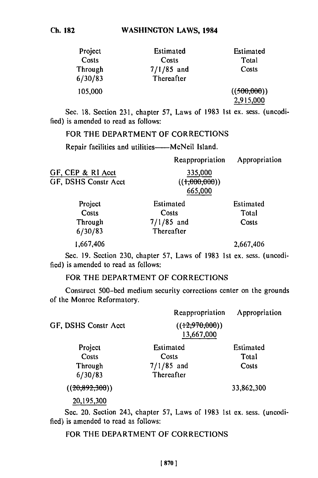| Project<br>Costs   | Estimated<br>Costs         | Estimated<br>Total       |
|--------------------|----------------------------|--------------------------|
| Through<br>6/30/83 | $7/1/85$ and<br>Thereafter | Costs                    |
| 105,000            |                            | ((500,000))<br>2,915,000 |

Sec. 18. Section 231, chapter 57, Laws of 1983 Ist ex. sess. (uncodified) is amended to read as follows:

FOR THE DEPARTMENT OF CORRECTIONS

Repair facilities and utilities----- McNeil Island.

|                      | Reappropriation  | Appropriation |
|----------------------|------------------|---------------|
| GF, CEP & RI Acct    | 335,000          |               |
| GF, DSHS Constr Acct | $((+0.000,000))$ |               |
|                      | 665,000          |               |
| Project              | Estimated        | Estimated     |

| <b>FIUJUL</b> | esumated     | esumated |
|---------------|--------------|----------|
| Costs         | Costs        | Total    |
| Through       | $7/1/85$ and | Costs    |
| 6/30/83       | Thereafter   |          |
| 1.667.106     |              | 267AB    |

Sec. **19.** Section **230,** chapter **57,** Laws of **1983 1st** ex. sess. (uncodified) is amended to read as follows:

## FOR THE DEPARTMENT OF CORRECTIONS

Construct 500-bed medium security corrections center on the grounds of the Monroe Reformatory.

| GF, DSHS Constr Acct | Reappropriation<br>((12,970,000))<br>13,667,000 | Appropriation |
|----------------------|-------------------------------------------------|---------------|
| Project              | Estimated                                       | Estimated     |
| Costs                | Costs                                           | Total         |
| Through              | $7/1/85$ and                                    | Costs         |
| 6/30/83              | Thereafter                                      |               |
| ((20.892.300))       |                                                 | 33,862,300    |
| 20,195,300           |                                                 |               |

Sec. 20. Section 243, chapter 57, Laws of 1983 1st ex. sess. (uncodified) is amended to read as follows:

FOR THE DEPARTMENT OF CORRECTIONS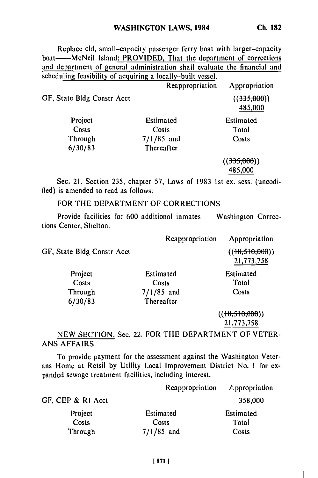Replace old, small-capacity passenger ferry boat with larger-capacity boat-----McNeil Island: PROVIDED, That the department of corrections and department of general administration shall evaluate the financial and scheduling feasibility of acquiring a locally-built vessel.

|                            | Reappropriation | Appropriation          |
|----------------------------|-----------------|------------------------|
| GF, State Bldg Constr Acct |                 | ((335,000))<br>485,000 |
| Project                    | Estimated       | Estimated              |
| Costs                      | Costs           | Total                  |
| Through                    | $7/1/85$ and    | Costs                  |
| 6/30/83                    | Thereafter      |                        |
|                            |                 | ((335,000))            |
|                            |                 | 485,000                |

Sec. 21. Section 235, chapter 57, Laws of 1983 1st ex. sess. (uncodified) is amended to read as follows:

# FOR THE DEPARTMENT OF CORRECTIONS

Provide facilities for 600 additional inmates——Washington Corrections Center, Shelton.

|                            | Reappropriation | Appropriation                  |
|----------------------------|-----------------|--------------------------------|
| GF, State Bldg Constr Acct |                 | $((+8,510,000))$<br>21,773,758 |
| Project                    | Estimated       | Estimated                      |
| Costs                      | Costs           | Total                          |
| Through                    | $7/1/85$ and    | Costs                          |
| 6/30/83                    | Thereafter      |                                |
|                            |                 | ((18,510,000))                 |
|                            |                 | 21,773,758                     |

# NEW SECTION. Sec. 22. FOR THE DEPARTMENT OF VETER-ANS AFFAIRS

To provide payment for the assessment against the Washington Veterans Home at Retsil by Utility Local Improvement District No. **I** for expanded sewage treatment facilities, including interest.

|                   | Reappropriation | Appropriation |
|-------------------|-----------------|---------------|
| GF, CEP & RI Acct |                 | 358,000       |
| Project           | Estimated       | Estimated     |
| Costs             | Costs           | Total         |
| Through           | $7/1/85$ and    | Costs         |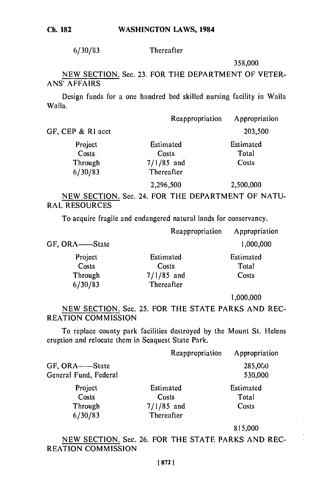**6/30/83** Thereafter

358,000

NEW SECTION. Sec. 23. FOR THE DEPARTMENT OF VETER-ANS' AFFAIRS

Design funds for a one hundred bed skilled nursing facility in Walla Walla.

|                   | Reappropriation | Appropriation |
|-------------------|-----------------|---------------|
| GF, CEP & RI acct |                 | 203,500       |
| Project           | Estimated       | Estimated     |
| Costs             | Costs           | Total         |
| Through           | $7/1/85$ and    | Costs         |
| 6/30/83           | Thereafter      |               |
|                   | 2,296,500       | 2,500,000     |

NEW SECTION. Sec. 24. FOR THE DEPARTMENT OF NATU-RAL RESOURCES

To acquire fragile and endangered natural lands for conservancy.

|               | Reappropriation | Appropriation |
|---------------|-----------------|---------------|
| GF, ORA—State |                 | 1,000,000     |
| Project       | Estimated       | Estimated     |
| Costs         | Costs           | Total         |
| Through       | $7/1/85$ and    | Costs         |
| 6/30/83       | Thereafter      |               |

**1,000,000**

NEW SECTION. Sec. 25. FOR THE STATE PARKS AND REC-REATION COMMISSION

To replace county park facilities destroyed by the Mount St. Helens eruption and relocate them in Seaquest State Park.

|                       | Reappropriation   | Appropriation |
|-----------------------|-------------------|---------------|
| GF, ORA——State        |                   | 285,000       |
| General Fund, Federal |                   | 530,000       |
| Project               | Estimated         | Estimated     |
| Costs                 | Costs             | Total         |
| Through               | $7/1/85$ and      | Costs         |
| 6/30/83               | <b>Thereafter</b> |               |

815,000

NEW SECTION. Sec. 26. FOR THE STATE PARKS AND REC-REATION COMMISSION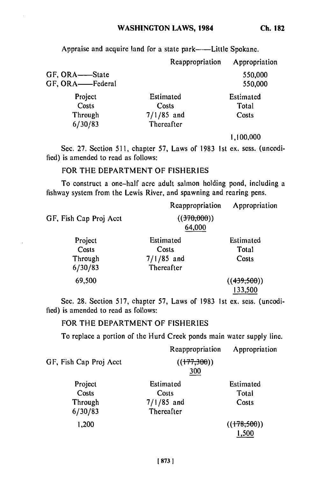**Ch. 182**

Appraise and acquire land for a state park--Little Spokane.

|                                        | Reappropriation                                  | Appropriation               |
|----------------------------------------|--------------------------------------------------|-----------------------------|
| GF, ORA-State<br>GF, ORA-Federal       |                                                  | 550,000<br>550,000          |
| Project<br>Costs<br>Through<br>6/30/83 | Estimated<br>Costs<br>$7/1/85$ and<br>Thereafter | Estimated<br>Total<br>Costs |

**1,100,000**

Sec. 27. Section 511, chapter 57, Laws of 1983 **1st** ex. sess. (uncodified) is amended to read as follows:

#### FOR THE DEPARTMENT OF FISHERIES

To construct a one-half acre adult salmon holding pond, including a fishway system from the Lewis River, and spawning and rearing pens.

|                        | Reappropriation     | Appropriation |
|------------------------|---------------------|---------------|
| GF, Fish Cap Proj Acct | (370,000)<br>64,000 |               |
| Project                | Estimated           | Estimated     |
| Costs                  | Costs               | Total         |
| Through                | $7/1/85$ and        | Costs         |
| 6/30/83                | Thereafter          |               |
| 69,500                 |                     | ((439,500))   |
|                        |                     | 133,500       |

Sec. 28. Section 517, chapter 57, Laws of 1983 Ist ex. sess. (uncodified) is amended to read as follows:

#### FOR THE DEPARTMENT OF FISHERIES

To replace a portion of the Hurd Creek ponds main water supply line.

| GF, Fish Cap Proj Acct                 | Reappropriation<br>((177,300))<br>300            | Appropriation               |
|----------------------------------------|--------------------------------------------------|-----------------------------|
| Project<br>Costs<br>Through<br>6/30/83 | Estimated<br>Costs<br>$7/1/85$ and<br>Thereafter | Estimated<br>Total<br>Costs |
| 1,200                                  |                                                  | ((178,500))<br>1,500        |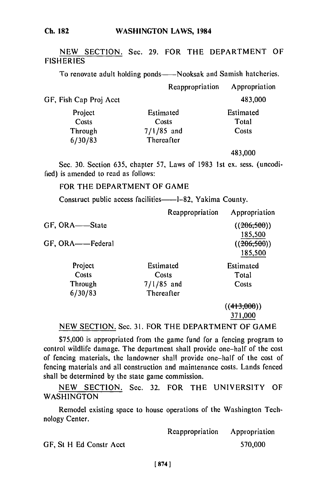#### **WASHINGTON** LAWS, 1984

## NEW SECTION. Sec. 29. FOR THE DEPARTMENT OF **FISHERIES**

To renovate adult holding ponds——Nooksak and Samish hatcheries.

|                        | Reappropriation | Appropriation |
|------------------------|-----------------|---------------|
| GF, Fish Cap Proj Acct |                 | 483,000       |
| Project                | Estimated       | Estimated     |
| Costs                  | Costs           | Total         |
| Through                | $7/1/85$ and    | Costs         |
| 6/30/83                | Thereafter      |               |
|                        |                 | 483.000       |

Sec. 30. Section 635, chapter 57, Laws of 1983 1st ex. sess. (uncodified) is amended to read as follows:

### FOR THE DEPARTMENT OF GAME

Construct public access facilities——1-82, Yakima County.

|                  | Reappropriation | Appropriation |
|------------------|-----------------|---------------|
| GF, ORA-State    |                 | ((206,500))   |
|                  |                 | 185,500       |
| GF, ORA——Federal |                 | ((206, 500))  |
|                  |                 | 185,500       |
| Project          | Estimated       | Estimated     |
| Costs            | Costs           | Total         |
| Through          | $7/1/85$ and    | Costs         |
| 6/30/83          | Thereafter      |               |
|                  |                 | ((413,000))   |
|                  |                 | 371.000       |

#### NEW SECTION. Sec. 31. FOR THE DEPARTMENT OF GAME

\$75,000 is appropriated from the game fund for a fencing program to control wildlife damage. The department shall provide one-half of the cost of fencing materials, the landowner shall provide one-half of the cost of fencing materials and all construction and maintenance costs. Lands fenced shall be determined by the state game commission.

NEW SECTION. Sec. 32. FOR THE UNIVERSITY OF **WASHINGTON** 

Remodel existing space to house operations of the Washington Technology Center.

Reappropriation Appropriation GF, St H Ed Constr Acct 570,000

#### **1 874 1**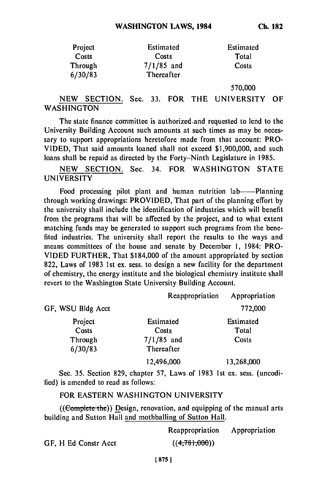| Project | Estimated    | Estimated |
|---------|--------------|-----------|
| Costs   | Costs        | Total     |
| Through | $7/1/85$ and | Costs     |
| 6/30/83 | Thereafter   |           |

570,000

# NEW SECTION. Sec. 33. FOR THE UNIVERSITY OF **WASHINGTON**

The state finance committee is authorized.and requested to lend to the University Building Account such amounts at such times as may be necessary to support appropriations heretofore made from that account: PRO-VIDED, That said amounts loaned shall not exceed \$1,900,000, and such loans shall be repaid as directed by the Forty-Ninth Legislature in 1985.

NEW SECTION. Sec. 34. FOR WASHINGTON STATE UNIVERSITY

Food processing pilot plant and human nutrition lab-Planning through working drawings: PROVIDED, That part of the planning effort by the university shall include the identification of industries which will benefit from the programs that will be affected by the project, and to what extent matching funds may be generated to support such programs from the benefited industries. The university shall report the results to the ways and means committees of the house and senate by December **1,** 1984: PRO-VIDED FURTHER, That \$184,000 of the amount appropriated by section 822, Laws of 1983 1st ex. sess. to design a new facility for the department of chemistry, the energy institute and the biological chemistry institute shall revert to the Washington State University Building Account.

|                    | Reappropriation            | Appropriation |
|--------------------|----------------------------|---------------|
| GF, WSU Bldg Acct  |                            | 772,000       |
| Project            | Estimated                  | Estimated     |
| Costs              | Costs                      | Total         |
| Through<br>6/30/83 | $7/1/85$ and<br>Thereafter | Costs         |
|                    | 12,496,000                 | 13,268,000    |

Sec. 35. Section 829, chapter 57, Laws of 1983 1st ex. sess. (uncodified) is amended to read as follows:

# FOR EASTERN WASHINGTON UNIVERSITY

 $((Complete the))$  Design, renovation, and equipping of the manual arts building and Sutton Hall and mothballing of Sutton Hall.

|                      | Reappropriation | Appropriation |
|----------------------|-----------------|---------------|
| GF, H Ed Constr Acct | ((4,781,000))   |               |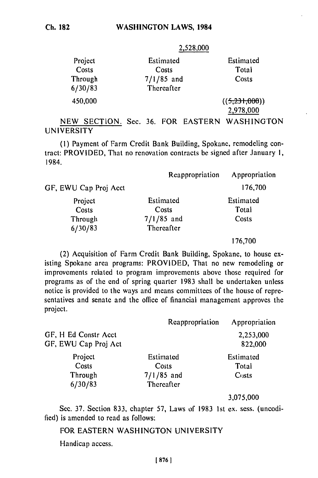**2,528,000**

| Project | Estimated    | Estimated     |
|---------|--------------|---------------|
| Costs   | Costs        | Total         |
| Through | $7/1/85$ and | Costs         |
| 6/30/83 | Thereafter   |               |
| 450,000 |              | ((5,231,000)) |

2,978,000

NEW SECTION. Sec. 36. FOR EASTERN WASHINGTON UNIVERSITY

(I) Payment of Farm Credit Bank Building, Spokane, remodeling contract: PROVIDED, That no renovation contracts be signed after January I, 1984.

|                       | Reappropriation | Appropriation |
|-----------------------|-----------------|---------------|
| GF, EWU Cap Proj Acct |                 | 176,700       |
| Project               | Estimated       | Estimated     |
| Costs                 | Costs           | Total         |
| Through               | $7/1/85$ and    | Costs         |
| 6/30/83               | Thereafter      |               |
|                       |                 | 176,700       |

(2) Acquisition of Farm Credit Bank Building, Spokane, to house existing Spokane area programs: PROVIDED, That no new remodeling or improvements related to program improvements above those required for programs as of the end of spring quarter 1983 shall be undertaken unless notice is provided to the ways and means committees of the house of representatives and senate and the office of financial management approves the project.

|                                              | Reappropriation                                  | Appropriation               |
|----------------------------------------------|--------------------------------------------------|-----------------------------|
| GF, H Ed Constr Acct<br>GF, EWU Cap Proj Act |                                                  | 2,253,000<br>822,000        |
| Project<br>Costs<br>Through<br>6/30/83       | Estimated<br>Costs<br>$7/1/85$ and<br>Thereafter | Estimated<br>Total<br>Costs |

3,075,000

Sec. 37. Section 833, chapter 57, Laws of 1983 Ist ex. sess. (uncodified) is amended to read as follows:

# FOR EASTERN WASHINGTON UNIVERSITY

Handicap access.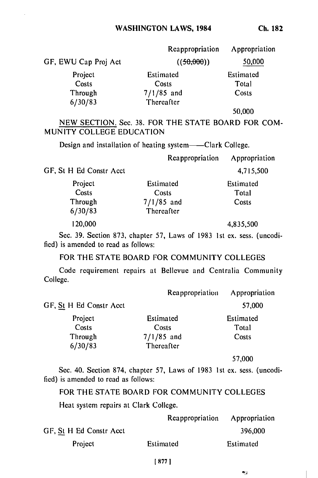|                      | Reappropriation | Appropriation |
|----------------------|-----------------|---------------|
| GF, EWU Cap Proj Act | ((50,000))      | 50,000        |
| Project              | Estimated       | Estimated     |
| Costs                | Costs           | Total         |
| Through              | $7/1/85$ and    | Costs         |
| 6/30/83              | Thereafter      |               |

50,000

NEW SECTION. Sec. 38. FOR THE STATE BOARD FOR COM-MUNITY COLLEGE EDUCATION

Design and installation of heating system——Clark College.

|                         | Reappropriation | Appropriation |
|-------------------------|-----------------|---------------|
| GF, St H Ed Constr Acct |                 | 4,715,500     |
| Project                 | Estimated       | Estimated     |
| Costs                   | Costs           | Total         |
| Through                 | $7/1/85$ and    | Costs         |
| 6/30/83                 | Thereafter      |               |
| 120,000                 |                 | 4,835,500     |

Sec. 39. Section 873, chapter 57, Laws of 1983 Ist ex. sess. (uncodified) is amended to read as follows:

# FOR THE STATE BOARD FOR COMMUNITY COLLEGES

Code requirement repairs at Bellevue and Centralia Community College.

|                                | Reappropriation | Appropriation |
|--------------------------------|-----------------|---------------|
| GF, <u>St</u> H Ed Constr Acct |                 | 57,000        |
| Project                        | Estimated       | Estimated     |
| Costs                          | Costs           | Total         |
| Through                        | $7/1/85$ and    | Costs         |
| 6/30/83                        | Thereafter      |               |

57,000

 $\mathbf{A}^{\mathrm{th}}_{\mathrm{B}}$ 

Sec. 40. Section 874, chapter 57, Laws of 1983 1st ex. sess. (uncodified) is amended to read as follows:

FOR THE STATE BOARD FOR COMMUNITY COLLEGES

Heat system repairs at Clark College.

|                         | Reappropriation | Appropriation |
|-------------------------|-----------------|---------------|
| GF, St H Ed Constr Acct |                 | 396,000       |
| Project                 | Estimated       | Estimated     |

#### **[ 877 1**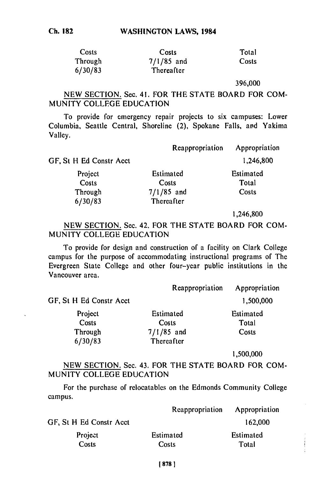| Costs   | Costs        | Total |
|---------|--------------|-------|
| Through | $7/1/85$ and | Costs |
| 6/30/83 | Thereafter   |       |

396,000

NEW SECTION. Sec. 41. FOR THE STATE BOARD FOR COM-MUNITY COLLEGE EDUCATION

To provide for emergency repair projects to six campuses: Lower Columbia, Seattle Central, Shoreline (2), Spokane Falls, ard Yakima Valley.

|                         | Reappropriation | Appropriation |
|-------------------------|-----------------|---------------|
| GF, St H Ed Constr Acct |                 | 1,246,800     |
| Project                 | Estimated       | Estimated     |
| Costs                   | Costs           | Total         |
| Through                 | $7/1/85$ and    | Costs         |
| 6/30/83                 | Thereafter      |               |

1,246,800

NEW SECTION. Sec. 42. FOR THE STATE BOARD FOR COM-MUNITY COLLEGE EDUCATION

To provide for design and construction of a facility on Clark College campus for the purpose of accommodating instructional programs of The Evergreen State College and other four-year public institutions in the Vancouver area.

|                         | Reappropriation | Appropriation |
|-------------------------|-----------------|---------------|
| GF, St H Ed Constr Acct |                 | 1,500,000     |
| Project                 | Estimated       | Estimated     |
| Costs                   | Costs           | Total         |
| Through                 | $7/1/85$ and    | Costs         |
| 6/30/83                 | Thereafter      |               |

1,500,000

NEW SECTION. Sec. 43. FOR THE STATE BOARD FOR COM-MUNITY COLLEGE EDUCATION

For the purchase of relocatables on the Edmonds Community College campus.

|                         | Reappropriation    | Appropriation      |
|-------------------------|--------------------|--------------------|
| GF, St H Ed Constr Acct |                    | 162,000            |
| Project<br>Costs        | Estimated<br>Costs | Estimated<br>Total |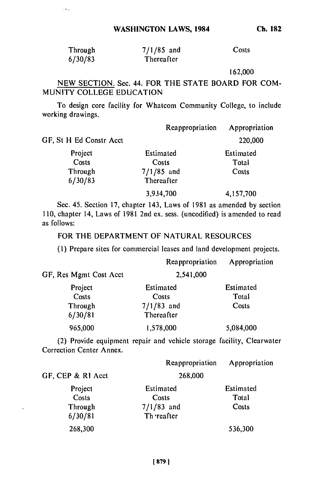$\sim 10^4$ 

**Ch. 182**

| Through | $7/1/85$ and | Costs |
|---------|--------------|-------|
| 6/30/83 | Thereafter   |       |

162,000

NEW SECTION. Sec. 44. FOR THE STATE BOARD FOR COM-MUNITY COLLEGE EDUCATION

To design core facility for Whatcom Community College, to include working drawings.

|                         | Reappropriation | Appropriation |
|-------------------------|-----------------|---------------|
| GF, St H Ed Constr Acct |                 | 220,000       |
| Project                 | Estimated       | Estimated     |
| Costs                   | Costs           | Total         |
| Through                 | $7/1/85$ and    | Costs         |
| 6/30/83                 | Thereafter      |               |
|                         | 3,934,700       | 4,157,700     |

Sec. 45. Section 17, chapter 143, Laws of 1981 as amended by section 110, chapter 14, Laws of 1981 2nd ex. sess. (uncodified) is amended to read as follows:

FOR THE DEPARTMENT OF NATURAL RESOURCES

**(1)** Prepare sites for commercial leases and land development projects.

|                        | Reappropriation            | Appropriation |
|------------------------|----------------------------|---------------|
| GF, Res Mgmt Cost Acct | 2,541,000                  |               |
| Project                | Estimated                  | Estimated     |
| Costs                  | Costs                      | Total         |
| Through<br>6/30/81     | $7/1/83$ and<br>Thereafter | Costs         |
| 965,000                | 1,578,000                  | 5,084,000     |

(2) Provide equipment repair and vehicle storage facility, Clearwater Correction Center Annex.

|                   | Reappropriation | Appropriation |
|-------------------|-----------------|---------------|
| GF, CEP & RI Acct | 268,000         |               |
| Project           | Estimated       | Estimated     |
| Costs             | Costs           | Total         |
| Through           | $7/1/83$ and    | Costs         |
| 6/30/81           | Th reafter      |               |
| 268,300           |                 | 536,300       |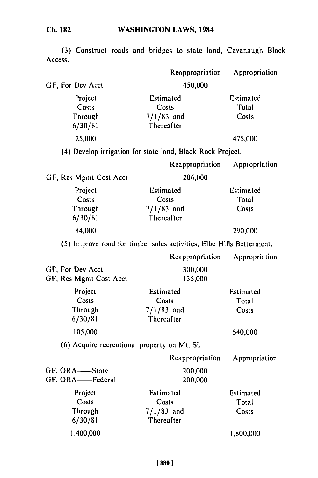**(3)** Construct roads and bridges to state land, Cavanaugh Block Access.

|                                              | Reappropriation                                                      | Appropriation               |
|----------------------------------------------|----------------------------------------------------------------------|-----------------------------|
| GF, For Dev Acct                             | 450,000                                                              |                             |
| Project<br>Costs<br>Through<br>6/30/81       | Estimated<br>Costs<br>$7/1/83$ and<br>Thereafter                     | Estimated<br>Total<br>Costs |
| 25,000                                       |                                                                      | 475,000                     |
|                                              | (4) Develop irrigation for state land, Black Rock Project.           |                             |
|                                              | Reappropriation                                                      | Appropriation               |
| GF, Res Mgmt Cost Acct                       | 206,000                                                              |                             |
| Project<br>Costs<br>Through<br>6/30/81       | Estimated<br>Costs<br>$7/1/83$ and<br>Thereafter                     | Estimated<br>Total<br>Costs |
| 84,000                                       |                                                                      | 290,000                     |
|                                              | (5) Improve road for timber sales activities, Elbe Hills Betterment. |                             |
|                                              | Reappropriation                                                      | Appropriation               |
| GF, For Dev Acct<br>GF, Res Mgmt Cost Acct   | 300,000<br>135,000                                                   |                             |
| Project<br>Costs<br>Through<br>6/30/81       | Estimated<br>Costs<br>$7/1/83$ and<br>Thereafter                     | Estimated<br>Total<br>Costs |
| 105,000                                      |                                                                      | 540,000                     |
| (6) Acquire recreational property on Mt. Si. |                                                                      |                             |
|                                              | Reappropriation                                                      | Appropriation               |
| GF, ORA-State<br>GF, ORA-Federal             | 200,000<br>200,000                                                   |                             |
| Project<br>Costs<br>Through<br>6/30/81       | Estimated<br>Costs<br>$7/1/83$ and<br>Thereafter                     | Estimated<br>Total<br>Costs |
| 1,400,000                                    |                                                                      | 1,800,000                   |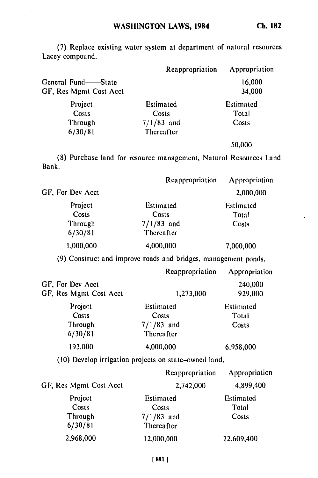**(7)** Replace existing water system at department of natural resources Lacey compound.

|                        | Reappropriation | Appropriation |
|------------------------|-----------------|---------------|
| General Fund-<br>State |                 | 16,000        |
| GF, Res Mgmt Cost Acct |                 | 34,000        |
| Project                | Estimated       | Estimated     |
| Costs                  | Costs           | Total         |
| Through                | $7/1/83$ and    | Costs         |
| 6/30/81                | Thereafter      |               |
|                        |                 | 50.000        |

(8) Purchase land for resource management, Natural Resources Land Bank.

|                  | Reappropriation | Appropriation |
|------------------|-----------------|---------------|
| GF, For Dev Acct |                 | 2,000,000     |
| Project          | Estimated       | Estimated     |
| Costs            | Costs           | Total         |
| Through          | $7/1/83$ and    | Costs         |
| 6/30/81          | Thereafter      |               |
| 1,000,000        | 4,000,000       | 7,000,000     |

(9) Construct and improve roads and bridges, management ponds

|                                            | Reappropriation            | Appropriation      |
|--------------------------------------------|----------------------------|--------------------|
| GF, For Dev Acct<br>GF, Res Mgmt Cost Acct | 1,273,000                  | 240,000<br>929,000 |
| Project<br>Costs                           | Estimated<br>Costs         | Estimated<br>Total |
| Through<br>6/30/81                         | $7/1/83$ and<br>Thereafter | Costs              |
| 193,000                                    | 4,000,000                  | 6,958,000          |

(10) Develop irrigation projects on state-owned land.

|                        | Reappropriation | Appropriation |
|------------------------|-----------------|---------------|
| GF, Res Mgmt Cost Acct | 2,742,000       | 4,899,400     |
| Project                | Estimated       | Estimated     |
| Costs                  | Costs           | Total         |
| Through                | $7/1/83$ and    | Costs         |
| 6/30/81                | Thereafter      |               |
| 2,968,000              | 12,000,000      | 22,609,400    |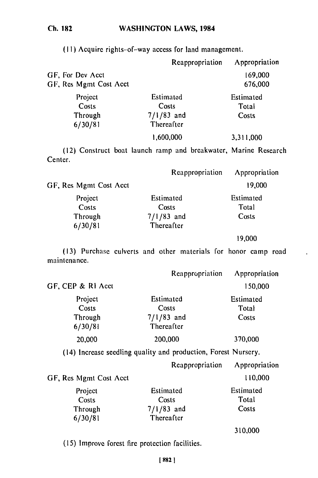# **Ch. 182**

(II) Acquire rights-of-way access for land management.

|                        | Reappropriation | Appropriation |
|------------------------|-----------------|---------------|
| GF, For Dev Acct       |                 | 169,000       |
| GF, Res Mgmt Cost Acct |                 | 676,000       |
| Project                | Estimated       | Estimated     |
| Costs                  | Costs           | Total         |
| Through                | $7/1/83$ and    | Costs         |
| 6/30/81                | Thereafter      |               |
|                        | 1,600,000       | 3,311,000     |

(12) Construct boat launch ramp and breakwater, Marine Research Center.

|                        | Reappropriation | Appropriation |
|------------------------|-----------------|---------------|
| GF, Res Mgmt Cost Acct |                 | 19,000        |
| Project                | Estimated       | Estimated     |
| Costs                  | Costs           | Total         |
| Through                | $7/1/83$ and    | Costs         |
| 6/30/81                | Thereafter      |               |
|                        |                 | 19,000        |

(13) Purchase culverts and other materials for honor camp road maintenance.

|                   | Reappropriation | Appropriation |
|-------------------|-----------------|---------------|
| GF, CEP & RI Acct |                 | 150,000       |
| Project           | Estimated       | Estimated     |
| Costs             | Costs           | Total         |
| Through           | $7/1/83$ and    | Costs         |
| 6/30/81           | Thereafter      |               |
| 20,000            | 200,000         | 370,000       |

(14) Increase seedling quality and production, Forest Nursery.

|                        | Reappropriation | Appropriation |
|------------------------|-----------------|---------------|
| GF, Res Mgmt Cost Acct |                 | 110,000       |
| Project                | Estimated       | Estimated     |
| Costs                  | Costs           | Total         |
| Through                | $7/1/83$ and    | Costs         |
| 6/30/81                | Thereafter      |               |

310,000

(15) Improve forest fire protection facilities.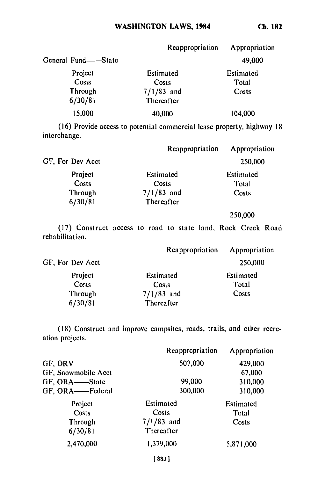|                     | Reappropriation | Appropriation |
|---------------------|-----------------|---------------|
| General Fund——State |                 | 49,000        |
| Project             | Estimated       | Estimated     |
| Costs               | Costs           | Total         |
| Through             | $7/1/83$ and    | Costs         |
| 6/30/81             | Thereafter      |               |
| 15,000              | 40,000          | 104,000       |

**(16)** Provide access to potential commercial lease property, highway **18** interchange.

|                  | Reappropriation | Appropriation |
|------------------|-----------------|---------------|
| GF, For Dev Acct |                 | 250,000       |
| Project          | Estimated       | Estimated     |
| Costs            | Costs           | Total         |
| Through          | $7/1/83$ and    | Costs         |
| 6/30/81          | Thereafter      |               |
|                  |                 | 250,000       |

**(17)** Construct access to road to state land, Rock Creek Road rehabilitation.

|                  | Reappropriation | Appropriation |
|------------------|-----------------|---------------|
| GF, For Dev Acct |                 | 250,000       |
| Project          | Estimated       | Estimated     |
| Costs            | Costs           | Total         |
| Through          | $7/1/83$ and    | Costs         |
| 6/30/81          | Thereafter      |               |

**(18)** Construct and improve campsites, roads, trails, and other recreation projects.

|                     | Reappropriation | Appropriation |
|---------------------|-----------------|---------------|
| GF, ORV             | 507,000         | 429,000       |
| GF, Snowmobile Acct |                 | 67,000        |
| GF, ORA-State       | 99,000          | 310,000       |
| GF, ORA-Federal     | 300,000         | 310,000       |
| Project             | Estimated       | Estimated     |
| Costs               | Costs           | Total         |
| Through             | $7/1/83$ and    | Costs         |
| 6/30/81             | Thereafter      |               |
| 2,470,000           | 1,379,000       | 5,871,000     |
|                     | 883             |               |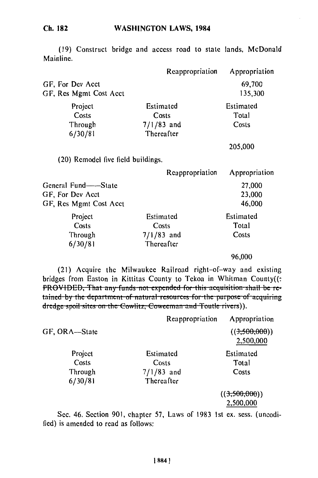#### **WASHINGTON LAWS, 1984 Ch. 182**

 $GF.$ 

bridge and access road to state lands, McDonald (19) Construct Mainline.

|                                    | Reappropriation | Appropriation |
|------------------------------------|-----------------|---------------|
| GF, For Dev Acct                   |                 | 69,700        |
| GF, Res Mgmt Cost Acct             |                 | 135,300       |
| Project                            | Estimated       | Estimated     |
| Costs                              | Costs           | Total         |
| Through                            | $7/1/83$ and    | Costs         |
| 6/30/81                            | Thereafter      |               |
|                                    |                 | 205,000       |
| (20) Remodel five field buildings. |                 |               |
|                                    | Reappropriation | Appropriation |
| General Fund----State              |                 | 27,000        |
| GF. For Dev Acct                   |                 | 23.000        |

| . VI 1768 1366.    |              | 23.000    |
|--------------------|--------------|-----------|
| Res Mgmt Cost Acct |              | 46,000    |
| Project            | Estimated    | Estimated |
| Costs              | Costs        | Total     |
| Through            | $7/1/83$ and | Costs     |
| 6/30/81            | Thereafter   |           |
|                    |              |           |

**96,000**

(21) Acquire the Milwaukee Railroad right-of-way and existing bridges from Easton in Kittitas County to Tekoa in Whitman County((: PROVIDED, That any funds not expended for this acquisition shall be retained by the department of natural resources for the purpose of acqui

|               | Reappropriation | Appropriation              |
|---------------|-----------------|----------------------------|
| GF, ORA-State |                 | ((3,500,000))<br>2,500,000 |
| Project       | Estimated       | Estimated                  |
| Costs         | Costs           | Total                      |
| Through       | $7/1/83$ and    | Costs                      |
| 6/30/81       | Thereafter      |                            |
|               |                 | ((3,500,000))              |
|               |                 | 2,500,000                  |

Sec. 46. Section 901, chapter 57, Laws of 1983 Ist ex. sess. (uncodified) is amended to read as follows: